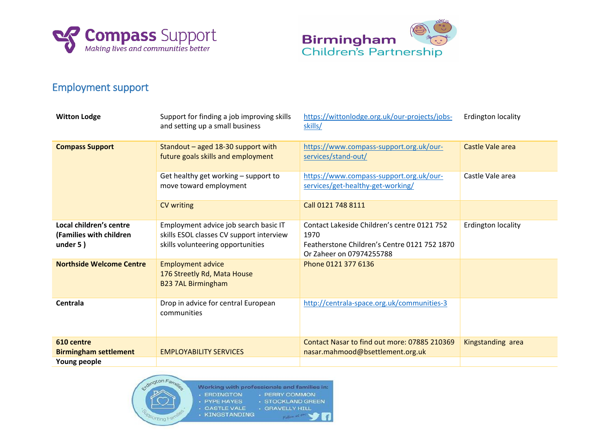



## Employment support

| <b>Witton Lodge</b>                                               | Support for finding a job improving skills<br>and setting up a small business                                          | https://wittonlodge.org.uk/our-projects/jobs-<br>skills/                                                                        | <b>Erdington locality</b> |
|-------------------------------------------------------------------|------------------------------------------------------------------------------------------------------------------------|---------------------------------------------------------------------------------------------------------------------------------|---------------------------|
| <b>Compass Support</b>                                            | Standout - aged 18-30 support with<br>future goals skills and employment                                               | https://www.compass-support.org.uk/our-<br>services/stand-out/                                                                  | <b>Castle Vale area</b>   |
|                                                                   | Get healthy get working - support to<br>move toward employment                                                         | https://www.compass-support.org.uk/our-<br>services/get-healthy-get-working/                                                    | Castle Vale area          |
|                                                                   | <b>CV</b> writing                                                                                                      | Call 0121 748 8111                                                                                                              |                           |
| Local children's centre<br>(Families with children<br>under $5$ ) | Employment advice job search basic IT<br>skills ESOL classes CV support interview<br>skills volunteering opportunities | Contact Lakeside Children's centre 0121 752<br>1970<br>Featherstone Children's Centre 0121 752 1870<br>Or Zaheer on 07974255788 | Erdington locality        |
| <b>Northside Welcome Centre</b>                                   | <b>Employment advice</b><br>176 Streetly Rd, Mata House<br><b>B23 7AL Birmingham</b>                                   | Phone 0121 377 6136                                                                                                             |                           |
| Centrala                                                          | Drop in advice for central European<br>communities                                                                     | http://centrala-space.org.uk/communities-3                                                                                      |                           |
| 610 centre                                                        |                                                                                                                        | Contact Nasar to find out more: 07885 210369                                                                                    | Kingstanding area         |
| <b>Birmingham settlement</b>                                      | <b>EMPLOYABILITY SERVICES</b>                                                                                          | nasar.mahmood@bsettlement.org.uk                                                                                                |                           |
| Young people                                                      |                                                                                                                        |                                                                                                                                 |                           |



Working with professionals and families in: - ERDINGTON - PERRY COMMON · PYPE HAYES · STOCKLAND GREEN · CASTLE VALE · GRAVELLY HILL · KINGSTANDING Callow RE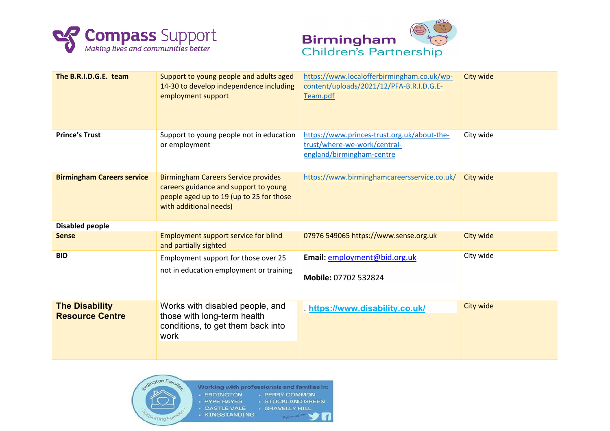



| The B.R.I.D.G.E. team                           | Support to young people and adults aged<br>14-30 to develop independence including<br>employment support                                                  | https://www.localofferbirmingham.co.uk/wp-<br>content/uploads/2021/12/PFA-B.R.I.D.G.E-<br>Team.pdf       | City wide |  |  |
|-------------------------------------------------|-----------------------------------------------------------------------------------------------------------------------------------------------------------|----------------------------------------------------------------------------------------------------------|-----------|--|--|
| <b>Prince's Trust</b>                           | Support to young people not in education<br>or employment                                                                                                 | https://www.princes-trust.org.uk/about-the-<br>trust/where-we-work/central-<br>england/birmingham-centre | City wide |  |  |
| <b>Birmingham Careers service</b>               | <b>Birmingham Careers Service provides</b><br>careers guidance and support to young<br>people aged up to 19 (up to 25 for those<br>with additional needs) | https://www.birminghamcareersservice.co.uk/                                                              | City wide |  |  |
| <b>Disabled people</b>                          |                                                                                                                                                           |                                                                                                          |           |  |  |
| <b>Sense</b>                                    | <b>Employment support service for blind</b><br>and partially sighted                                                                                      | 07976 549065 https://www.sense.org.uk                                                                    | City wide |  |  |
| <b>BID</b>                                      | Employment support for those over 25<br>not in education employment or training                                                                           | Email: employment@bid.org.uk<br>Mobile: 07702 532824                                                     | City wide |  |  |
| <b>The Disability</b><br><b>Resource Centre</b> | Works with disabled people, and<br>those with long-term health<br>conditions, to get them back into<br>work                                               | https://www.disability.co.uk/                                                                            | City wide |  |  |